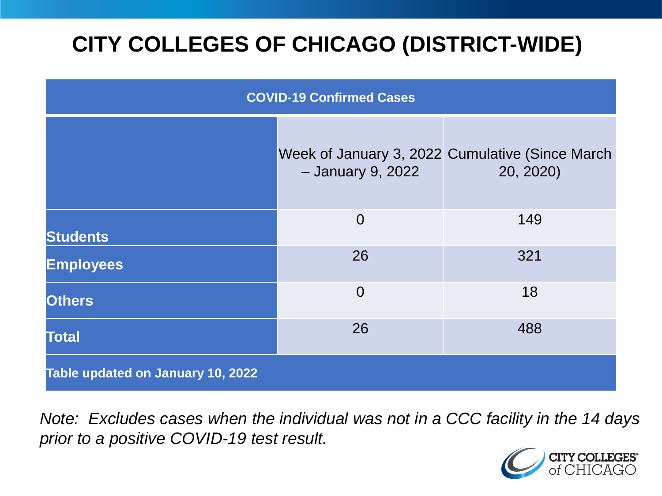# **CITY COLLEGES OF CHICAGO (DISTRICT-WIDE)**

| <b>COVID-19 Confirmed Cases</b>   |                   |                                                              |
|-----------------------------------|-------------------|--------------------------------------------------------------|
|                                   | - January 9, 2022 | Week of January 3, 2022 Cumulative (Since March<br>20, 2020) |
| <b>Students</b>                   | $\overline{0}$    | 149                                                          |
| <b>Employees</b>                  | 26                | 321                                                          |
| <b>Others</b>                     | $\overline{0}$    | 18                                                           |
| <b>Total</b>                      | 26                | 488                                                          |
| Table updated on January 10, 2022 |                   |                                                              |

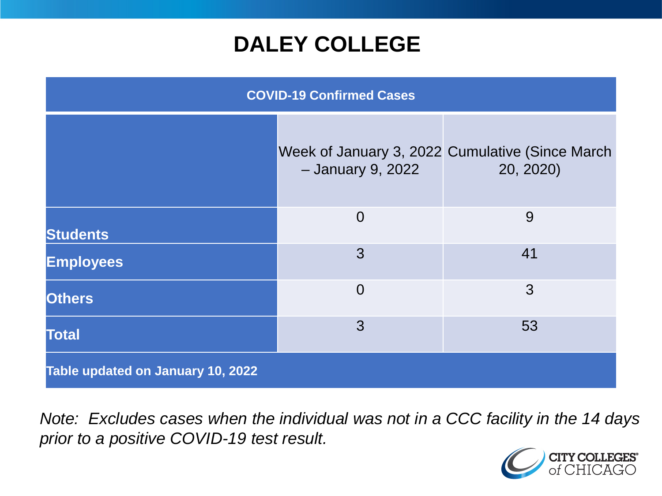### **DALEY COLLEGE**

| <b>COVID-19 Confirmed Cases</b>   |                   |                                                              |
|-----------------------------------|-------------------|--------------------------------------------------------------|
|                                   | - January 9, 2022 | Week of January 3, 2022 Cumulative (Since March<br>20, 2020) |
| <b>Students</b>                   | $\overline{0}$    | 9                                                            |
| <b>Employees</b>                  | 3                 | 41                                                           |
| <b>Others</b>                     | $\overline{0}$    | 3                                                            |
| <b>Total</b>                      | 3                 | 53                                                           |
| Table updated on January 10, 2022 |                   |                                                              |

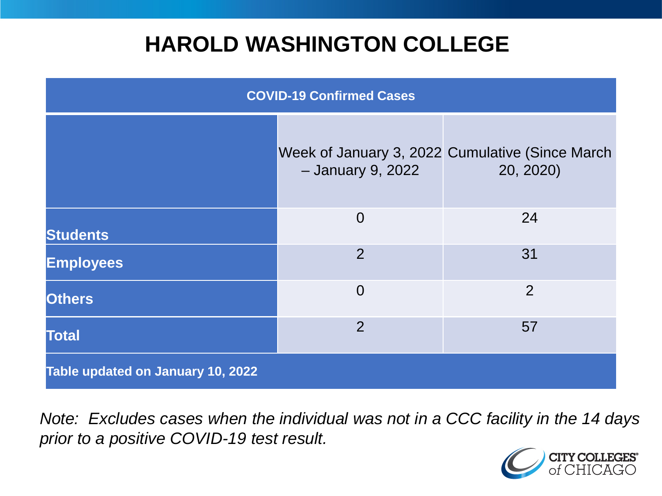### **HAROLD WASHINGTON COLLEGE**

| <b>COVID-19 Confirmed Cases</b>   |                   |                                                              |
|-----------------------------------|-------------------|--------------------------------------------------------------|
|                                   | - January 9, 2022 | Week of January 3, 2022 Cumulative (Since March<br>20, 2020) |
| <b>Students</b>                   | $\overline{0}$    | 24                                                           |
| <b>Employees</b>                  | 2                 | 31                                                           |
| <b>Others</b>                     | $\Omega$          | $\overline{2}$                                               |
| <b>Total</b>                      | 2                 | 57                                                           |
| Table updated on January 10, 2022 |                   |                                                              |

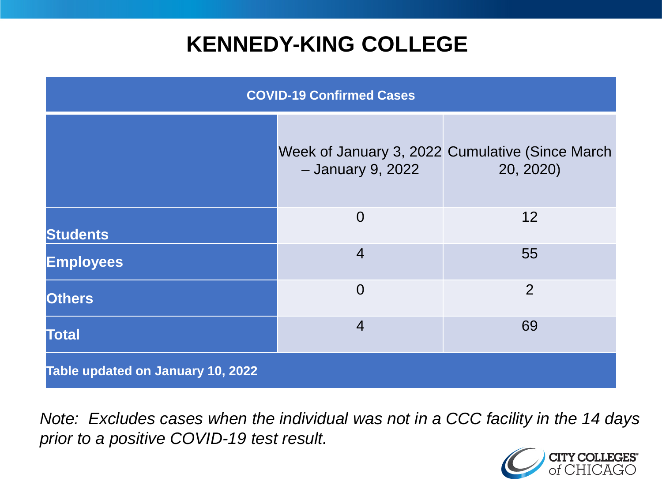### **KENNEDY-KING COLLEGE**

| <b>COVID-19 Confirmed Cases</b>   |                   |                                                              |
|-----------------------------------|-------------------|--------------------------------------------------------------|
|                                   | - January 9, 2022 | Week of January 3, 2022 Cumulative (Since March<br>20, 2020) |
| <b>Students</b>                   | $\overline{0}$    | 12                                                           |
| <b>Employees</b>                  | $\overline{4}$    | 55                                                           |
| <b>Others</b>                     | $\overline{0}$    | $\overline{2}$                                               |
| <b>Total</b>                      | $\overline{4}$    | 69                                                           |
| Table updated on January 10, 2022 |                   |                                                              |

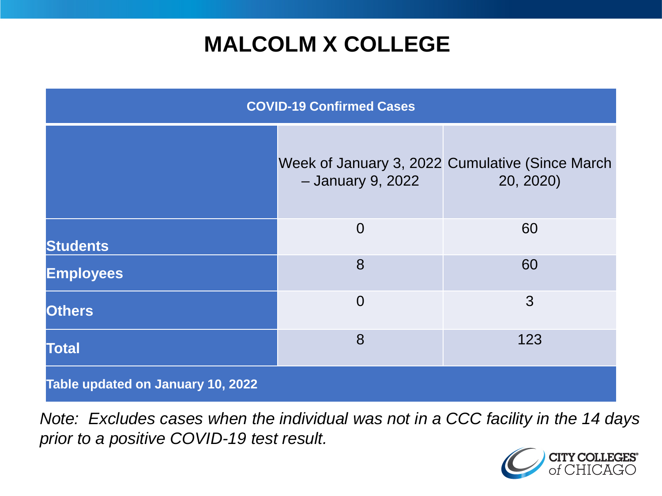## **MALCOLM X COLLEGE**

| <b>COVID-19 Confirmed Cases</b>   |                   |                                                               |
|-----------------------------------|-------------------|---------------------------------------------------------------|
|                                   | - January 9, 2022 | Week of January 3, 2022 Cumulative (Since March)<br>20, 2020) |
| <b>Students</b>                   | $\overline{0}$    | 60                                                            |
| <b>Employees</b>                  | 8                 | 60                                                            |
| <b>Others</b>                     | $\overline{0}$    | 3                                                             |
| <b>Total</b>                      | 8                 | 123                                                           |
| Table updated on January 10, 2022 |                   |                                                               |

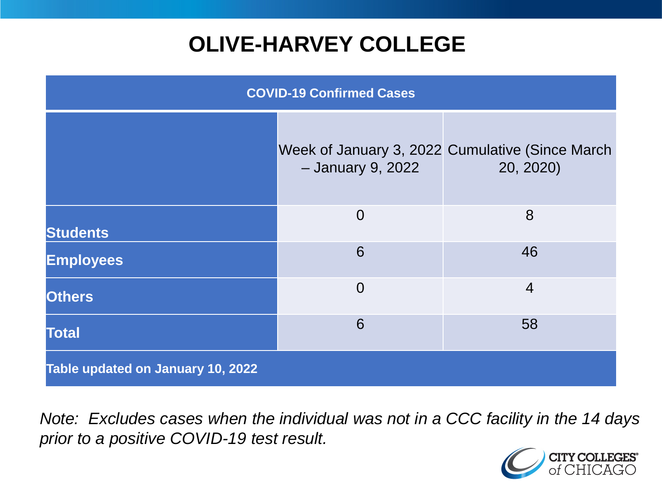# **OLIVE-HARVEY COLLEGE**

| <b>COVID-19 Confirmed Cases</b>   |                   |                                                              |
|-----------------------------------|-------------------|--------------------------------------------------------------|
|                                   | - January 9, 2022 | Week of January 3, 2022 Cumulative (Since March<br>20, 2020) |
| <b>Students</b>                   | $\overline{0}$    | 8                                                            |
| <b>Employees</b>                  | 6                 | 46                                                           |
| <b>Others</b>                     | $\overline{0}$    | $\overline{4}$                                               |
| <b>Total</b>                      | 6                 | 58                                                           |
| Table updated on January 10, 2022 |                   |                                                              |

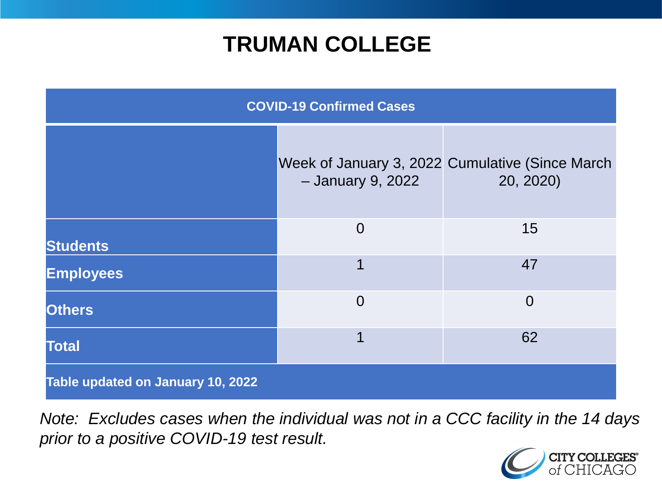### **TRUMAN COLLEGE**

| <b>COVID-19 Confirmed Cases</b>   |                   |                                                              |
|-----------------------------------|-------------------|--------------------------------------------------------------|
|                                   | - January 9, 2022 | Week of January 3, 2022 Cumulative (Since March<br>20, 2020) |
| <b>Students</b>                   | $\overline{0}$    | 15                                                           |
| <b>Employees</b>                  |                   | 47                                                           |
| <b>Others</b>                     | $\overline{0}$    | $\overline{0}$                                               |
| <b>Total</b>                      | 1                 | 62                                                           |
| Table updated on January 10, 2022 |                   |                                                              |

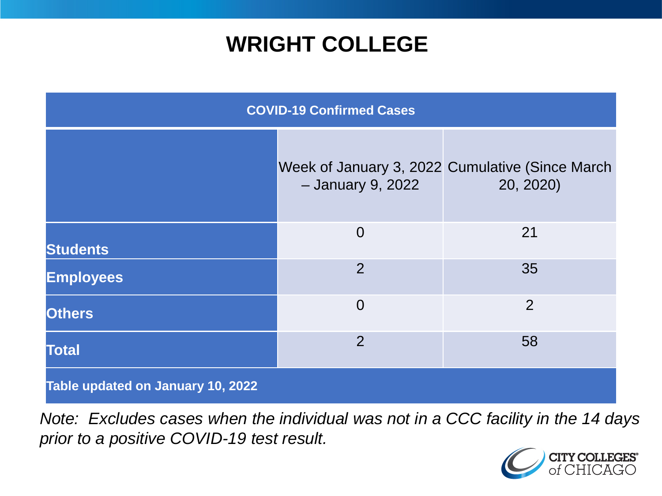### **WRIGHT COLLEGE**

| <b>COVID-19 Confirmed Cases</b>   |                   |                                                              |
|-----------------------------------|-------------------|--------------------------------------------------------------|
|                                   | - January 9, 2022 | Week of January 3, 2022 Cumulative (Since March<br>20, 2020) |
| <b>Students</b>                   | $\overline{0}$    | 21                                                           |
| <b>Employees</b>                  | $\overline{2}$    | 35                                                           |
| <b>Others</b>                     | $\overline{0}$    | 2                                                            |
| <b>Total</b>                      | $\overline{2}$    | 58                                                           |
| Table updated on January 10, 2022 |                   |                                                              |